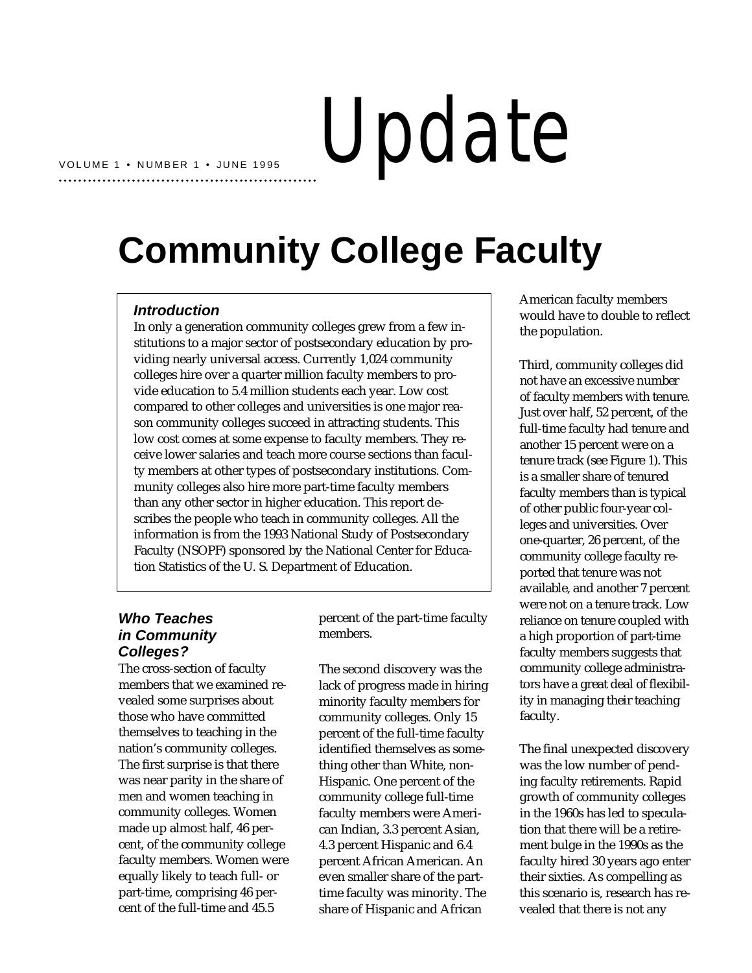# Update

## **Community College Faculty**

#### **Introduction**

In only a generation community colleges grew from a few institutions to a major sector of postsecondary education by providing nearly universal access. Currently 1,024 community colleges hire over a quarter million faculty members to provide education to 5.4 million students each year. Low cost compared to other colleges and universities is one major reason community colleges succeed in attracting students. This low cost comes at some expense to faculty members. They receive lower salaries and teach more course sections than faculty members at other types of postsecondary institutions. Community colleges also hire more part-time faculty members than any other sector in higher education. This report describes the people who teach in community colleges. All the information is from the 1993 National Study of Postsecondary Faculty (NSOPF) sponsored by the National Center for Education Statistics of the U. S. Department of Education.

#### **Who Teaches in Community Colleges?**

The cross-section of faculty members that we examined revealed some surprises about those who have committed themselves to teaching in the nation's community colleges. The first surprise is that there was near parity in the share of men and women teaching in community colleges. Women made up almost half, 46 percent, of the community college faculty members. Women were equally likely to teach full- or part-time, comprising 46 percent of the full-time and 45.5

percent of the part-time faculty members.

The second discovery was the lack of progress made in hiring minority faculty members for community colleges. Only 15 percent of the full-time faculty identified themselves as something other than White, non-Hispanic. One percent of the community college full-time faculty members were American Indian, 3.3 percent Asian, 4.3 percent Hispanic and 6.4 percent African American. An even smaller share of the parttime faculty was minority. The share of Hispanic and African

American faculty members would have to double to reflect the population.

Third, community colleges did not have an excessive number of faculty members with tenure. Just over half, 52 percent, of the full-time faculty had tenure and another 15 percent were on a tenure track (see Figure 1). This is a smaller share of tenured faculty members than is typical of other public four-year colleges and universities. Over one-quarter, 26 percent, of the community college faculty reported that tenure was not available, and another 7 percent were not on a tenure track. Low reliance on tenure coupled with a high proportion of part-time faculty members suggests that community college administrators have a great deal of flexibility in managing their teaching faculty.

The final unexpected discovery was the low number of pending faculty retirements. Rapid growth of community colleges in the 1960s has led to speculation that there will be a retirement bulge in the 1990s as the faculty hired 30 years ago enter their sixties. As compelling as this scenario is, research has revealed that there is not any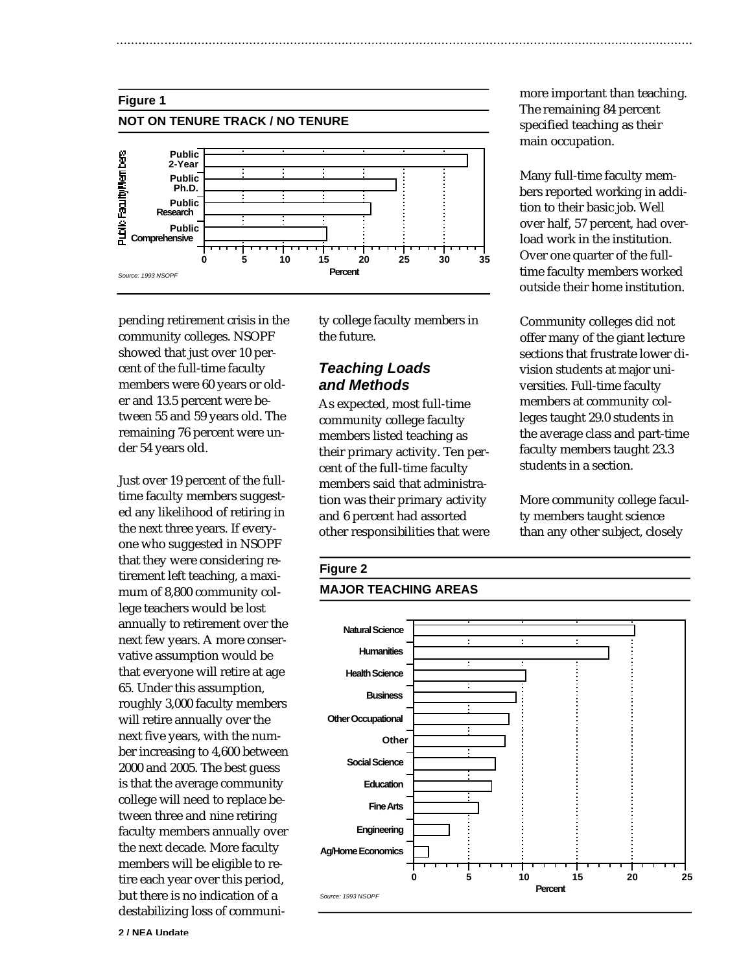

pending retirement crisis in the community colleges. NSOPF showed that just over 10 percent of the full-time faculty members were 60 years or older and 13.5 percent were between 55 and 59 years old. The remaining 76 percent were under 54 years old.

Just over 19 percent of the fulltime faculty members suggested any likelihood of retiring in the next three years. If everyone who suggested in NSOPF that they were considering retirement left teaching, a maximum of 8,800 community college teachers would be lost annually to retirement over the next few years. A more conservative assumption would be that everyone will retire at age 65. Under this assumption, roughly 3,000 faculty members will retire annually over the next five years, with the number increasing to 4,600 between 2000 and 2005. The best guess is that the average community college will need to replace between three and nine retiring faculty members annually over the next decade. More faculty members will be eligible to retire each year over this period, but there is no indication of a destabilizing loss of community college faculty members in the future.

#### **Teaching Loads and Methods**

As expected, most full-time community college faculty members listed teaching as their primary activity. Ten percent of the full-time faculty members said that administration was their primary activity and 6 percent had assorted other responsibilities that were

more important than teaching. The remaining 84 percent specified teaching as their main occupation.

Many full-time faculty members reported working in addition to their basic job. Well over half, 57 percent, had overload work in the institution. Over one quarter of the fulltime faculty members worked outside their home institution.

Community colleges did not offer many of the giant lecture sections that frustrate lower division students at major universities. Full-time faculty members at community colleges taught 29.0 students in the average class and part-time faculty members taught 23.3 students in a section.

More community college faculty members taught science than any other subject, closely

### **Figure 2**

#### **MAJOR TEACHING AREAS**



**2 / NEA Update**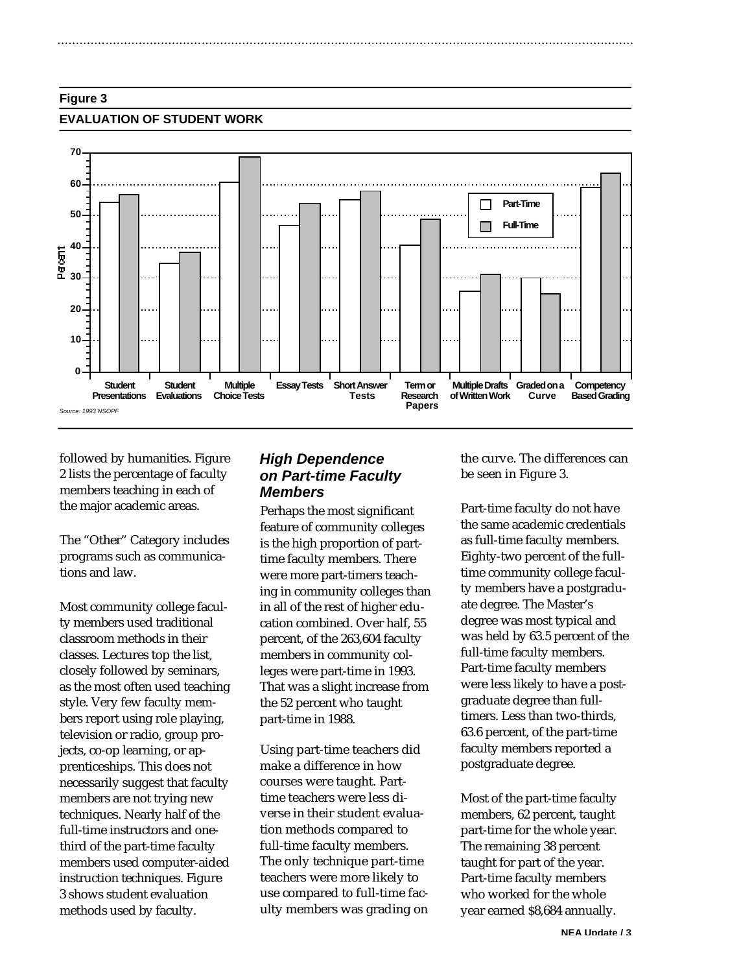#### **Figure 3**

#### **EVALUATION OF STUDENT WORK**



followed by humanities. Figure 2 lists the percentage of faculty members teaching in each of the major academic areas.

The "Other" Category includes programs such as communications and law.

Most community college faculty members used traditional classroom methods in their classes. Lectures top the list, closely followed by seminars, as the most often used teaching style. Very few faculty members report using role playing, television or radio, group projects, co-op learning, or apprenticeships. This does not necessarily suggest that faculty members are not trying new techniques. Nearly half of the full-time instructors and onethird of the part-time faculty members used computer-aided instruction techniques. Figure 3 shows student evaluation methods used by faculty.

#### **High Dependence on Part-time Faculty Members**

Perhaps the most significant feature of community colleges is the high proportion of parttime faculty members. There were more part-timers teaching in community colleges than in all of the rest of higher education combined. Over half, 55 percent, of the 263,604 faculty members in community colleges were part-time in 1993. That was a slight increase from the 52 percent who taught part-time in 1988.

Using part-time teachers did make a difference in how courses were taught. Parttime teachers were less diverse in their student evaluation methods compared to full-time faculty members. The only technique part-time teachers were more likely to use compared to full-time faculty members was grading on the curve. The differences can be seen in Figure 3.

Part-time faculty do not have the same academic credentials as full-time faculty members. Eighty-two percent of the fulltime community college faculty members have a postgraduate degree. The Master's degree was most typical and was held by 63.5 percent of the full-time faculty members. Part-time faculty members were less likely to have a postgraduate degree than fulltimers. Less than two-thirds, 63.6 percent, of the part-time faculty members reported a postgraduate degree.

Most of the part-time faculty members, 62 percent, taught part-time for the whole year. The remaining 38 percent taught for part of the year. Part-time faculty members who worked for the whole year earned \$8,684 annually.